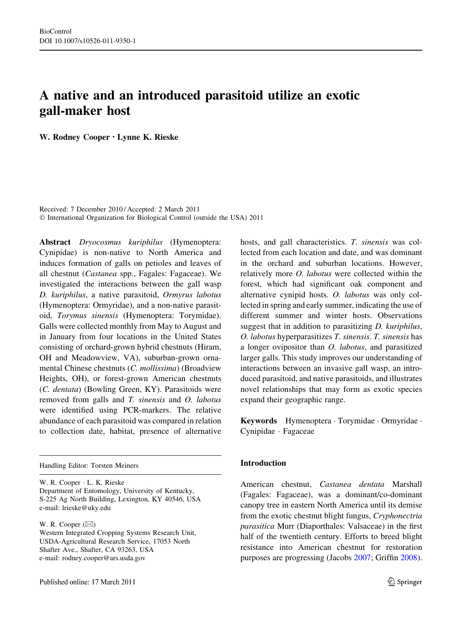# A native and an introduced parasitoid utilize an exotic gall-maker host

W. Rodney Cooper • Lynne K. Rieske

Received: 7 December 2010 / Accepted: 2 March 2011 © International Organization for Biological Control (outside the USA) 2011

Abstract Dryocosmus kuriphilus (Hymenoptera: Cynipidae) is non-native to North America and induces formation of galls on petioles and leaves of all chestnut (Castanea spp., Fagales: Fagaceae). We investigated the interactions between the gall wasp D. kuriphilus, a native parasitoid, Ormyrus labotus (Hymenoptera: Ormyridae), and a non-native parasitoid, Torymus sinensis (Hymenoptera: Torymidae). Galls were collected monthly from May to August and in January from four locations in the United States consisting of orchard-grown hybrid chestnuts (Hiram, OH and Meadowview, VA), suburban-grown ornamental Chinese chestnuts (C. mollissima) (Broadview Heights, OH), or forest-grown American chestnuts (C. dentata) (Bowling Green, KY). Parasitoids were removed from galls and T. sinensis and O. labotus were identified using PCR-markers. The relative abundance of each parasitoid was compared in relation to collection date, habitat, presence of alternative

Handling Editor: Torsten Meiners

W. R. Cooper - L. K. Rieske Department of Entomology, University of Kentucky, S-225 Ag North Building, Lexington, KY 40546, USA e-mail: lrieske@uky.edu

W. R. Cooper  $(\boxtimes)$ 

Western Integrated Cropping Systems Research Unit, USDA-Agricultural Research Service, 17053 North Shafter Ave., Shafter, CA 93263, USA e-mail: rodney.cooper@ars.usda.gov

hosts, and gall characteristics. T. sinensis was collected from each location and date, and was dominant in the orchard and suburban locations. However, relatively more O. labotus were collected within the forest, which had significant oak component and alternative cynipid hosts. O. labotus was only collected in spring and early summer, indicating the use of different summer and winter hosts. Observations suggest that in addition to parasitizing *D. kuriphilus*, O. labotus hyperparasitizes T. sinensis. T. sinensis has a longer ovipositor than O. labotus, and parasitized larger galls. This study improves our understanding of interactions between an invasive gall wasp, an introduced parasitoid, and native parasitoids, and illustrates novel relationships that may form as exotic species expand their geographic range.

Keywords Hymenoptera - Torymidae - Ormyridae - Cynipidae - Fagaceae

# Introduction

American chestnut, Castanea dentata Marshall (Fagales: Fagaceae), was a dominant/co-dominant canopy tree in eastern North America until its demise from the exotic chestnut blight fungus, Cryphonectria parasitica Murr (Diaporthales: Valsaceae) in the first half of the twentieth century. Efforts to breed blight resistance into American chestnut for restoration purposes are progressing (Jacobs [2007](#page-9-0); Griffin [2008](#page-9-0)).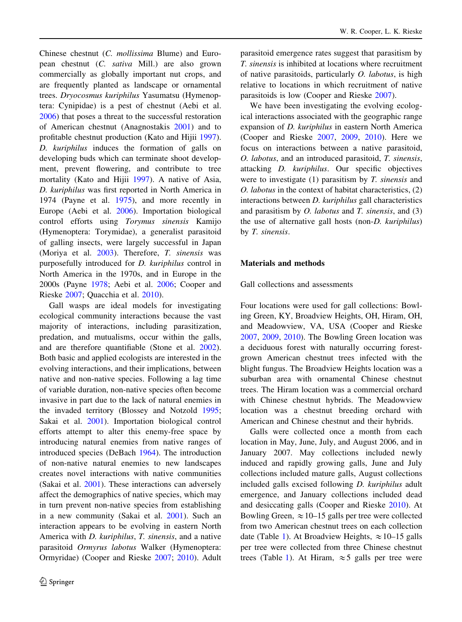Chinese chestnut (C. mollissima Blume) and European chestnut (C. sativa Mill.) are also grown commercially as globally important nut crops, and are frequently planted as landscape or ornamental trees. Dryocosmus kuriphilus Yasumatsu (Hymenoptera: Cynipidae) is a pest of chestnut (Aebi et al. [2006\)](#page-8-0) that poses a threat to the successful restoration of American chestnut (Anagnostakis [2001](#page-8-0)) and to profitable chestnut production (Kato and Hijii [1997](#page-9-0)). D. kuriphilus induces the formation of galls on developing buds which can terminate shoot development, prevent flowering, and contribute to tree mortality (Kato and Hijii [1997](#page-9-0)). A native of Asia, D. kuriphilus was first reported in North America in 1974 (Payne et al. [1975](#page-9-0)), and more recently in Europe (Aebi et al. [2006\)](#page-8-0). Importation biological control efforts using Torymus sinensis Kamijo (Hymenoptera: Torymidae), a generalist parasitoid of galling insects, were largely successful in Japan (Moriya et al. [2003\)](#page-9-0). Therefore, T. sinensis was purposefully introduced for D. kuriphilus control in North America in the 1970s, and in Europe in the 2000s (Payne [1978;](#page-9-0) Aebi et al. [2006](#page-8-0); Cooper and Rieske [2007](#page-8-0); Quacchia et al. [2010](#page-9-0)).

Gall wasps are ideal models for investigating ecological community interactions because the vast majority of interactions, including parasitization, predation, and mutualisms, occur within the galls, and are therefore quantifiable (Stone et al. [2002](#page-9-0)). Both basic and applied ecologists are interested in the evolving interactions, and their implications, between native and non-native species. Following a lag time of variable duration, non-native species often become invasive in part due to the lack of natural enemies in the invaded territory (Blossey and Notzold [1995](#page-8-0); Sakai et al. [2001](#page-9-0)). Importation biological control efforts attempt to alter this enemy-free space by introducing natural enemies from native ranges of introduced species (DeBach [1964\)](#page-9-0). The introduction of non-native natural enemies to new landscapes creates novel interactions with native communities (Sakai et al. [2001\)](#page-9-0). These interactions can adversely affect the demographics of native species, which may in turn prevent non-native species from establishing in a new community (Sakai et al. [2001](#page-9-0)). Such an interaction appears to be evolving in eastern North America with D. kuriphilus, T. sinensis, and a native parasitoid Ormyrus labotus Walker (Hymenoptera: Ormyridae) (Cooper and Rieske [2007](#page-8-0); [2010\)](#page-9-0). Adult parasitoid emergence rates suggest that parasitism by T. sinensis is inhibited at locations where recruitment of native parasitoids, particularly O. labotus, is high relative to locations in which recruitment of native parasitoids is low (Cooper and Rieske [2007](#page-8-0)).

We have been investigating the evolving ecological interactions associated with the geographic range expansion of D. kuriphilus in eastern North America (Cooper and Rieske [2007](#page-8-0), [2009](#page-8-0), [2010](#page-9-0)). Here we focus on interactions between a native parasitoid, O. labotus, and an introduced parasitoid, T. sinensis, attacking D. kuriphilus. Our specific objectives were to investigate (1) parasitism by T. sinensis and O. labotus in the context of habitat characteristics, (2) interactions between D. kuriphilus gall characteristics and parasitism by  $O.$  labotus and  $T.$  sinensis, and  $(3)$ the use of alternative gall hosts (non-D. kuriphilus) by T. sinensis.

# Materials and methods

Gall collections and assessments

Four locations were used for gall collections: Bowling Green, KY, Broadview Heights, OH, Hiram, OH, and Meadowview, VA, USA (Cooper and Rieske [2007,](#page-8-0) [2009,](#page-8-0) [2010](#page-9-0)). The Bowling Green location was a deciduous forest with naturally occurring forestgrown American chestnut trees infected with the blight fungus. The Broadview Heights location was a suburban area with ornamental Chinese chestnut trees. The Hiram location was a commercial orchard with Chinese chestnut hybrids. The Meadowview location was a chestnut breeding orchard with American and Chinese chestnut and their hybrids.

Galls were collected once a month from each location in May, June, July, and August 2006, and in January 2007. May collections included newly induced and rapidly growing galls, June and July collections included mature galls, August collections included galls excised following D. kuriphilus adult emergence, and January collections included dead and desiccating galls (Cooper and Rieske [2010\)](#page-9-0). At Bowling Green,  $\approx 10$ –15 galls per tree were collected from two American chestnut trees on each collection date (Table [1\)](#page-2-0). At Broadview Heights,  $\approx$  10–15 galls per tree were collected from three Chinese chestnut trees (Table [1\)](#page-2-0). At Hiram,  $\approx$  5 galls per tree were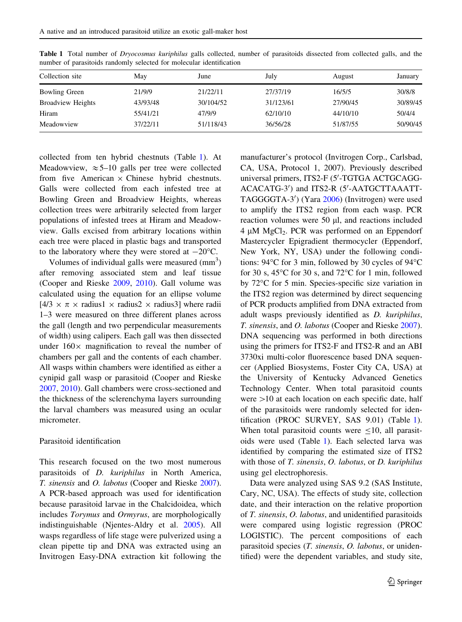| Collection site          | May      | June      | July      | August   | January  |
|--------------------------|----------|-----------|-----------|----------|----------|
| Bowling Green            | 21/9/9   | 21/22/11  | 27/37/19  | 16/5/5   | 30/8/8   |
| <b>Broadview Heights</b> | 43/93/48 | 30/104/52 | 31/123/61 | 27/90/45 | 30/89/45 |
| Hiram                    | 55/41/21 | 47/9/9    | 62/10/10  | 44/10/10 | 50/4/4   |
| Meadowview               | 37/22/11 | 51/118/43 | 36/56/28  | 51/87/55 | 50/90/45 |

<span id="page-2-0"></span>Table 1 Total number of *Dryocosmus kuriphilus* galls collected, number of parasitoids dissected from collected galls, and the number of parasitoids randomly selected for molecular identification

collected from ten hybrid chestnuts (Table 1). At Meadowview,  $\approx 5$ –10 galls per tree were collected from five American  $\times$  Chinese hybrid chestnuts. Galls were collected from each infested tree at Bowling Green and Broadview Heights, whereas collection trees were arbitrarily selected from larger populations of infested trees at Hiram and Meadowview. Galls excised from arbitrary locations within each tree were placed in plastic bags and transported to the laboratory where they were stored at  $-20^{\circ}$ C.

Volumes of individual galls were measured  $(mm<sup>3</sup>)$ after removing associated stem and leaf tissue (Cooper and Rieske [2009](#page-8-0), [2010\)](#page-9-0). Gall volume was calculated using the equation for an ellipse volume  $[4/3 \times \pi \times$  radius1  $\times$  radius2  $\times$  radius3] where radii 1–3 were measured on three different planes across the gall (length and two perpendicular measurements of width) using calipers. Each gall was then dissected under  $160 \times$  magnification to reveal the number of chambers per gall and the contents of each chamber. All wasps within chambers were identified as either a cynipid gall wasp or parasitoid (Cooper and Rieske [2007,](#page-8-0) [2010\)](#page-9-0). Gall chambers were cross-sectioned and the thickness of the sclerenchyma layers surrounding the larval chambers was measured using an ocular micrometer.

#### Parasitoid identification

This research focused on the two most numerous parasitoids of D. kuriphilus in North America, T. sinensis and O. labotus (Cooper and Rieske [2007\)](#page-8-0). A PCR-based approach was used for identification because parasitoid larvae in the Chalcidoidea, which includes Torymus and Ormyrus, are morphologically indistinguishable (Njentes-Aldry et al. [2005](#page-9-0)). All wasps regardless of life stage were pulverized using a clean pipette tip and DNA was extracted using an Invitrogen Easy-DNA extraction kit following the manufacturer's protocol (Invitrogen Corp., Carlsbad, CA, USA, Protocol 1, 2007). Previously described universal primers, ITS2-F (5'-TGTGA ACTGCAGG-ACACATG-3') and ITS2-R (5'-AATGCTTAAATT-TAGGGGTA-3') (Yara [2006\)](#page-9-0) (Invitrogen) were used to amplify the ITS2 region from each wasp. PCR reaction volumes were  $50 \mu l$ , and reactions included  $4 \mu M MgCl<sub>2</sub>$ . PCR was performed on an Eppendorf Mastercycler Epigradient thermocycler (Eppendorf, New York, NY, USA) under the following conditions:  $94^{\circ}$ C for 3 min, followed by 30 cycles of  $94^{\circ}$ C for 30 s, 45 $^{\circ}$ C for 30 s, and 72 $^{\circ}$ C for 1 min, followed by 72<sup>o</sup>C for 5 min. Species-specific size variation in the ITS2 region was determined by direct sequencing of PCR products amplified from DNA extracted from adult wasps previously identified as D. kuriphilus, T. sinensis, and O. labotus (Cooper and Rieske [2007](#page-8-0)). DNA sequencing was performed in both directions using the primers for ITS2-F and ITS2-R and an ABI 3730xi multi-color fluorescence based DNA sequencer (Applied Biosystems, Foster City CA, USA) at the University of Kentucky Advanced Genetics Technology Center. When total parasitoid counts were  $>10$  at each location on each specific date, half of the parasitoids were randomly selected for identification (PROC SURVEY, SAS 9.01) (Table 1). When total parasitoid counts were  $\leq 10$ , all parasitoids were used (Table 1). Each selected larva was identified by comparing the estimated size of ITS2 with those of T. sinensis, O. labotus, or D. kuriphilus using gel electrophoresis.

Data were analyzed using SAS 9.2 (SAS Institute, Cary, NC, USA). The effects of study site, collection date, and their interaction on the relative proportion of T. sinensis, O. labotus, and unidentified parasitoids were compared using logistic regression (PROC LOGISTIC). The percent compositions of each parasitoid species (T. sinensis, O. labotus, or unidentified) were the dependent variables, and study site,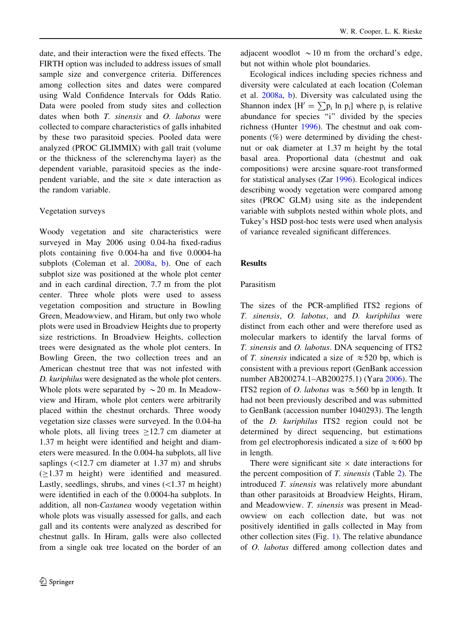date, and their interaction were the fixed effects. The FIRTH option was included to address issues of small sample size and convergence criteria. Differences among collection sites and dates were compared using Wald Confidence Intervals for Odds Ratio. Data were pooled from study sites and collection dates when both T. sinensis and O. labotus were collected to compare characteristics of galls inhabited by these two parasitoid species. Pooled data were analyzed (PROC GLIMMIX) with gall trait (volume or the thickness of the sclerenchyma layer) as the dependent variable, parasitoid species as the independent variable, and the site  $\times$  date interaction as the random variable.

#### Vegetation surveys

Woody vegetation and site characteristics were surveyed in May 2006 using 0.04-ha fixed-radius plots containing five 0.004-ha and five 0.0004-ha subplots (Coleman et al. [2008a](#page-8-0), [b](#page-8-0)). One of each subplot size was positioned at the whole plot center and in each cardinal direction, 7.7 m from the plot center. Three whole plots were used to assess vegetation composition and structure in Bowling Green, Meadowview, and Hiram, but only two whole plots were used in Broadview Heights due to property size restrictions. In Broadview Heights, collection trees were designated as the whole plot centers. In Bowling Green, the two collection trees and an American chestnut tree that was not infested with D. kuriphilus were designated as the whole plot centers. Whole plots were separated by  $\sim$  20 m. In Meadowview and Hiram, whole plot centers were arbitrarily placed within the chestnut orchards. Three woody vegetation size classes were surveyed. In the 0.04-ha whole plots, all living trees  $>12.7$  cm diameter at 1.37 m height were identified and height and diameters were measured. In the 0.004-ha subplots, all live saplings  $\left($  <12.7 cm diameter at 1.37 m) and shrubs  $(>1.37 \text{ m}$  height) were identified and measured. Lastly, seedlings, shrubs, and vines  $\left($  < 1.37 m height) were identified in each of the 0.0004-ha subplots. In addition, all non-Castanea woody vegetation within whole plots was visually assessed for galls, and each gall and its contents were analyzed as described for chestnut galls. In Hiram, galls were also collected from a single oak tree located on the border of an adjacent woodlot  $\sim$  10 m from the orchard's edge, but not within whole plot boundaries.

Ecological indices including species richness and diversity were calculated at each location (Coleman et al. [2008a,](#page-8-0) [b](#page-8-0)). Diversity was calculated using the Shannon index  $[H] = \sum p_i \ln p_i$  where  $p_i$  is relative abundance for species "i" divided by the species richness (Hunter [1996](#page-9-0)). The chestnut and oak components (%) were determined by dividing the chestnut or oak diameter at 1.37 m height by the total basal area. Proportional data (chestnut and oak compositions) were arcsine square-root transformed for statistical analyses (Zar [1996](#page-9-0)). Ecological indices describing woody vegetation were compared among sites (PROC GLM) using site as the independent variable with subplots nested within whole plots, and Tukey's HSD post-hoc tests were used when analysis of variance revealed significant differences.

#### Results

## Parasitism

The sizes of the PCR-amplified ITS2 regions of T. sinensis, O. labotus, and D. kuriphilus were distinct from each other and were therefore used as molecular markers to identify the larval forms of T. sinensis and O. labotus. DNA sequencing of ITS2 of T. sinensis indicated a size of  $\approx$  520 bp, which is consistent with a previous report (GenBank accession number AB200274.1–AB200275.1) (Yara [2006](#page-9-0)). The ITS2 region of *O. labotus* was  $\approx$  560 bp in length. It had not been previously described and was submitted to GenBank (accession number 1040293). The length of the D. kuriphilus ITS2 region could not be determined by direct sequencing, but estimations from gel electrophoresis indicated a size of  $\approx 600$  bp in length.

There were significant site  $\times$  date interactions for the percent composition of T. sinensis (Table [2\)](#page-4-0). The introduced T. sinensis was relatively more abundant than other parasitoids at Broadview Heights, Hiram, and Meadowview. T. sinensis was present in Meadowview on each collection date, but was not positively identified in galls collected in May from other collection sites (Fig. [1](#page-4-0)). The relative abundance of O. labotus differed among collection dates and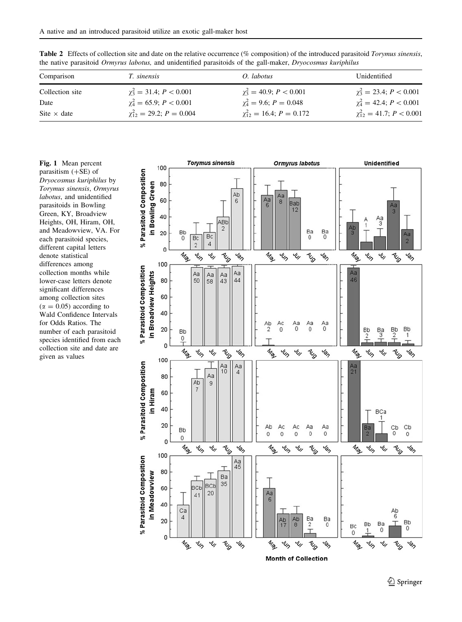| Comparison         | <i>T.</i> sinensis                   | O. labotus                        | Unidentified                         |
|--------------------|--------------------------------------|-----------------------------------|--------------------------------------|
| Collection site    | $\gamma_3^2 = 31.4$ ; $P < 0.001$    | $\gamma_3^2 = 40.9$ ; $P < 0.001$ | $\gamma_3^2 = 23.4$ ; $P < 0.001$    |
| Date               | $\gamma_4^2 = 65.9; P < 0.001$       | $\chi_4^2 = 9.6; P = 0.048$       | $\gamma_4^2 = 42.4$ ; $P < 0.001$    |
| Site $\times$ date | $\gamma_{12}^2 = 29.2$ ; $P = 0.004$ | $\chi_{12}^2 = 16.4; P = 0.172$   | $\gamma_{12}^2 = 41.7$ ; $P < 0.001$ |

<span id="page-4-0"></span>Table 2 Effects of collection site and date on the relative occurrence (% composition) of the introduced parasitoid Torymus sinensis, the native parasitoid Ormyrus labotus, and unidentified parasitoids of the gall-maker, Dryocosmus kuriphilus

Fig. 1 Mean percent parasitism  $(+SE)$  of Dryocosmus kuriphilus by Torymus sinensis, Ormyrus labotus, and unidentified parasitoids in Bowling Green, KY, Broadview Heights, OH, Hiram, OH, and Meadowview, VA. For each parasitoid species, different capital letters denote statistical differences among collection months while lower-case letters denote significant differences among collection sites  $(\alpha = 0.05)$  according to Wald Confidence Intervals for Odds Ratios. The number of each parasitoid species identified from each collection site and date are given as values

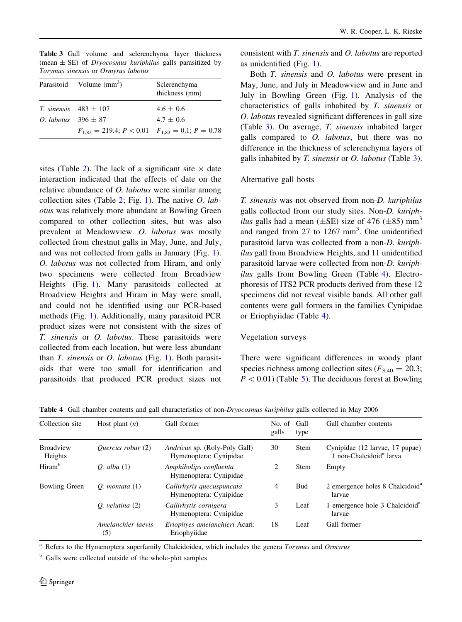|                                | Parasitoid Volume $(mm3)$                                     | Sclerenchyma<br>thickness (mm) |
|--------------------------------|---------------------------------------------------------------|--------------------------------|
|                                | <i>T. sinensis</i> $483 \pm 107$                              | $4.6 \pm 0.6$                  |
| <i>O. labotus</i> $396 \pm 87$ |                                                               | $4.7 \pm 0.6$                  |
|                                | $F_{1,83} = 219.4$ ; $P < 0.01$ $F_{1,83} = 0.1$ ; $P = 0.78$ |                                |

<span id="page-5-0"></span>Table 3 Gall volume and sclerenchyma layer thickness (mean  $\pm$  SE) of *Dryocosmus kuriphilus* galls parasitized by Torymus sinensis or Ormyrus labotus

sites (Table [2\)](#page-4-0). The lack of a significant site  $\times$  date interaction indicated that the effects of date on the relative abundance of O. labotus were similar among collection sites (Table [2;](#page-4-0) Fig. [1](#page-4-0)). The native *O. lab*otus was relatively more abundant at Bowling Green compared to other collection sites, but was also prevalent at Meadowview. O. labotus was mostly collected from chestnut galls in May, June, and July, and was not collected from galls in January (Fig. [1](#page-4-0)). O. labotus was not collected from Hiram, and only two specimens were collected from Broadview Heights (Fig. [1](#page-4-0)). Many parasitoids collected at Broadview Heights and Hiram in May were small, and could not be identified using our PCR-based methods (Fig. [1](#page-4-0)). Additionally, many parasitoid PCR product sizes were not consistent with the sizes of T. sinensis or O. labotus. These parasitoids were collected from each location, but were less abundant than  $T$ . sinensis or  $O$ . labotus (Fig. [1\)](#page-4-0). Both parasitoids that were too small for identification and parasitoids that produced PCR product sizes not

consistent with T. sinensis and O. labotus are reported as unidentified (Fig. [1](#page-4-0)).

Both T. sinensis and O. labotus were present in May, June, and July in Meadowview and in June and July in Bowling Green (Fig. [1](#page-4-0)). Analysis of the characteristics of galls inhabited by T. sinensis or O. labotus revealed significant differences in gall size (Table 3). On average, T. sinensis inhabited larger galls compared to O. labotus, but there was no difference in the thickness of sclerenchyma layers of galls inhabited by  $T$ . sinensis or  $O$ . labotus (Table 3).

#### Alternative gall hosts

T. sinensis was not observed from non-D. kuriphilus galls collected from our study sites. Non-D. kuriph*ilus* galls had a mean ( $\pm$ SE) size of 476 ( $\pm$ 85) mm<sup>3</sup> and ranged from 27 to 1267 mm<sup>3</sup>. One unidentified parasitoid larva was collected from a non-D. kuriphilus gall from Broadview Heights, and 11 unidentified parasitoid larvae were collected from non-D. kuriphilus galls from Bowling Green (Table 4). Electrophoresis of ITS2 PCR products derived from these 12 specimens did not reveal visible bands. All other gall contents were gall formers in the families Cynipidae or Eriophyiidae (Table 4).

### Vegetation surveys

There were significant differences in woody plant species richness among collection sites ( $F_{3,40} = 20.3$ ;  $P < 0.01$ ) (Table [5\)](#page-6-0). The deciduous forest at Bowling

| Collection site             | Host plant $(n)$          | Gall former                                             | No. of<br>galls | Gall<br>type | Gall chamber contents                                                  |
|-----------------------------|---------------------------|---------------------------------------------------------|-----------------|--------------|------------------------------------------------------------------------|
| <b>Broadview</b><br>Heights | <i>Ouercus robur</i> (2)  | Andricus sp. (Roly-Poly Gall)<br>Hymenoptera: Cynipidae | 30              | <b>Stem</b>  | Cynipidae (12 larvae, 17 pupae)<br>1 non-Chalcidoid <sup>a</sup> larva |
| Hiram <sup>b</sup>          | $O.$ alba $(1)$           | Amphibolips confluenta<br>Hymenoptera: Cynipidae        | 2               | <b>Stem</b>  | Empty                                                                  |
| <b>Bowling Green</b>        | $O.$ montata $(1)$        | Callirhyris quecuspuncata<br>Hymenoptera: Cynipidae     | 4               | <b>Bud</b>   | 2 emergence holes 8 Chalcidoid <sup>a</sup><br>larvae                  |
|                             | $O.$ velutina $(2)$       | Callirhytis cornigera<br>Hymenoptera: Cynipidae         | 3               | Leaf         | 1 emergence hole 3 Chalcidoid <sup>a</sup><br>larvae                   |
|                             | Amelanchier laevis<br>(5) | Eriophyes amelanchieri Acari:<br>Eriophyiidae           | 18              | Leaf         | Gall former                                                            |

Table 4 Gall chamber contents and gall characteristics of non-Dryocosmus kuriphilus galls collected in May 2006

<sup>a</sup> Refers to the Hymenoptera superfamily Chalcidoidea, which includes the genera *Torymus* and *Ormyrus* 

<sup>b</sup> Galls were collected outside of the whole-plot samples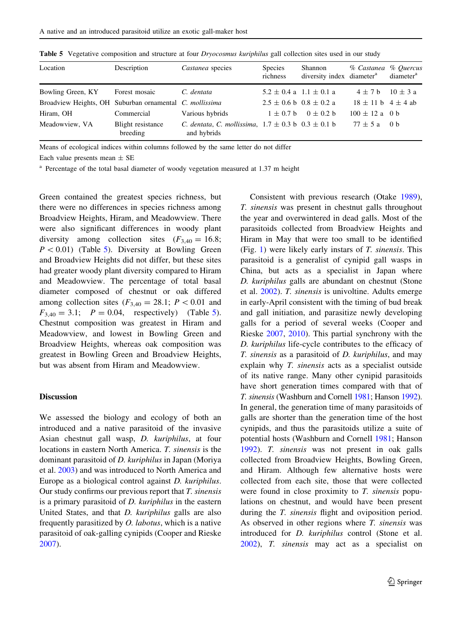| Location                                                | Description                   | Castanea species                                                                 | <b>Species</b><br>richness      | Shannon<br>diversity index diameter <sup>a</sup> | % Castanea % Ouercus       | diameter <sup>a</sup> |
|---------------------------------------------------------|-------------------------------|----------------------------------------------------------------------------------|---------------------------------|--------------------------------------------------|----------------------------|-----------------------|
| Bowling Green, KY                                       | Forest mosaic                 | C. dentata                                                                       | $5.2 \pm 0.4$ a $1.1 \pm 0.1$ a |                                                  | $4 \pm 7$ b                | $10 \pm 3 a$          |
| Broadview Heights, OH Suburban ornamental C. mollissima |                               |                                                                                  | $2.5 \pm 0.6$ b $0.8 \pm 0.2$ a |                                                  | $18 \pm 11$ b $4 \pm 4$ ab |                       |
| Hiram, OH                                               | Commercial                    | Various hybrids                                                                  | $1 \pm 0.7$ b                   | $0 \pm 0.2$ b                                    | $100 \pm 12$ a 0 b         |                       |
| Meadowview, VA                                          | Blight resistance<br>breeding | <i>C. dentata, C. mollissima,</i> $1.7 \pm 0.3$ b $0.3 \pm 0.1$ b<br>and hybrids |                                 |                                                  | $77 \pm 5$ a 0 b           |                       |

<span id="page-6-0"></span>Table 5 Vegetative composition and structure at four *Dryocosmus kuriphilus* gall collection sites used in our study

Means of ecological indices within columns followed by the same letter do not differ

Each value presents mean  $\pm$  SE

<sup>a</sup> Percentage of the total basal diameter of woody vegetation measured at 1.37 m height

Green contained the greatest species richness, but there were no differences in species richness among Broadview Heights, Hiram, and Meadowview. There were also significant differences in woody plant diversity among collection sites  $(F_{3,40} = 16.8;$  $P < 0.01$ ) (Table 5). Diversity at Bowling Green and Broadview Heights did not differ, but these sites had greater woody plant diversity compared to Hiram and Meadowview. The percentage of total basal diameter composed of chestnut or oak differed among collection sites  $(F_{3,40} = 28.1; P < 0.01$  and  $F_{3,40} = 3.1;$   $P = 0.04$ , respectively) (Table 5). Chestnut composition was greatest in Hiram and Meadowview, and lowest in Bowling Green and Broadview Heights, whereas oak composition was greatest in Bowling Green and Broadview Heights, but was absent from Hiram and Meadowview.

# Discussion

We assessed the biology and ecology of both an introduced and a native parasitoid of the invasive Asian chestnut gall wasp, D. kuriphilus, at four locations in eastern North America. T. sinensis is the dominant parasitoid of D. kuriphilus in Japan (Moriya et al. [2003\)](#page-9-0) and was introduced to North America and Europe as a biological control against D. kuriphilus. Our study confirms our previous report that  $T$ . sinensis is a primary parasitoid of D. kuriphilus in the eastern United States, and that D. kuriphilus galls are also frequently parasitized by O. labotus, which is a native parasitoid of oak-galling cynipids (Cooper and Rieske [2007\)](#page-8-0).

Consistent with previous research (Otake [1989](#page-9-0)), T. sinensis was present in chestnut galls throughout the year and overwintered in dead galls. Most of the parasitoids collected from Broadview Heights and Hiram in May that were too small to be identified (Fig. [1](#page-4-0)) were likely early instars of  $T$ . *sinensis*. This parasitoid is a generalist of cynipid gall wasps in China, but acts as a specialist in Japan where D. kuriphilus galls are abundant on chestnut (Stone et al. [2002\)](#page-9-0). T. sinensis is univoltine. Adults emerge in early-April consistent with the timing of bud break and gall initiation, and parasitize newly developing galls for a period of several weeks (Cooper and Rieske [2007,](#page-8-0) [2010\)](#page-9-0). This partial synchrony with the D. kuriphilus life-cycle contributes to the efficacy of T. sinensis as a parasitoid of D. kuriphilus, and may explain why T. sinensis acts as a specialist outside of its native range. Many other cynipid parasitoids have short generation times compared with that of T. sinensis (Washburn and Cornell [1981;](#page-9-0) Hanson [1992\)](#page-9-0). In general, the generation time of many parasitoids of galls are shorter than the generation time of the host cynipids, and thus the parasitoids utilize a suite of potential hosts (Washburn and Cornell [1981](#page-9-0); Hanson [1992\)](#page-9-0). T. sinensis was not present in oak galls collected from Broadview Heights, Bowling Green, and Hiram. Although few alternative hosts were collected from each site, those that were collected were found in close proximity to T. sinensis populations on chestnut, and would have been present during the *T. sinensis* flight and oviposition period. As observed in other regions where T. sinensis was introduced for D. kuriphilus control (Stone et al. [2002\)](#page-9-0), T. sinensis may act as a specialist on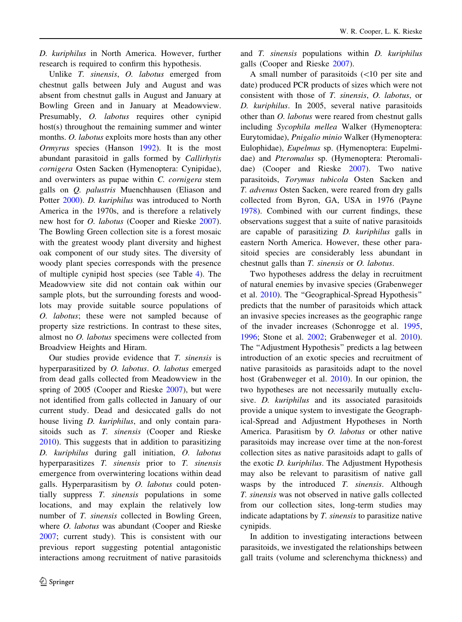D. kuriphilus in North America. However, further research is required to confirm this hypothesis.

Unlike T. sinensis, O. labotus emerged from chestnut galls between July and August and was absent from chestnut galls in August and January at Bowling Green and in January at Meadowview. Presumably, O. labotus requires other cynipid host(s) throughout the remaining summer and winter months. O. *labotus* exploits more hosts than any other Ormyrus species (Hanson [1992\)](#page-9-0). It is the most abundant parasitoid in galls formed by Callirhytis cornigera Osten Sacken (Hymenoptera: Cynipidae), and overwinters as pupae within C. cornigera stem galls on Q. palustris Muenchhausen (Eliason and Potter [2000](#page-9-0)). D. kuriphilus was introduced to North America in the 1970s, and is therefore a relatively new host for O. labotus (Cooper and Rieske [2007](#page-8-0)). The Bowling Green collection site is a forest mosaic with the greatest woody plant diversity and highest oak component of our study sites. The diversity of woody plant species corresponds with the presence of multiple cynipid host species (see Table [4\)](#page-5-0). The Meadowview site did not contain oak within our sample plots, but the surrounding forests and woodlots may provide suitable source populations of O. labotus; these were not sampled because of property size restrictions. In contrast to these sites, almost no O. labotus specimens were collected from Broadview Heights and Hiram.

Our studies provide evidence that T. sinensis is hyperparasitized by O. labotus. O. labotus emerged from dead galls collected from Meadowview in the spring of 2005 (Cooper and Rieske [2007\)](#page-8-0), but were not identified from galls collected in January of our current study. Dead and desiccated galls do not house living *D. kuriphilus*, and only contain parasitoids such as T. sinensis (Cooper and Rieske [2010\)](#page-9-0). This suggests that in addition to parasitizing D. kuriphilus during gall initiation, O. labotus hyperparasitizes T. sinensis prior to T. sinensis emergence from overwintering locations within dead galls. Hyperparasitism by  $O$ . labotus could potentially suppress T. sinensis populations in some locations, and may explain the relatively low number of *T. sinensis* collected in Bowling Green, where *O. labotus* was abundant (Cooper and Rieske [2007;](#page-8-0) current study). This is consistent with our previous report suggesting potential antagonistic interactions among recruitment of native parasitoids

and T. sinensis populations within D. kuriphilus galls (Cooper and Rieske [2007](#page-8-0)).

A small number of parasitoids  $(<10$  per site and date) produced PCR products of sizes which were not consistent with those of T. sinensis, O. labotus, or D. kuriphilus. In 2005, several native parasitoids other than O. labotus were reared from chestnut galls including Sycophila mellea Walker (Hymenoptera: Eurytomidae), Pnigalio minio Walker (Hymenoptera: Eulophidae), Eupelmus sp. (Hymenoptera: Eupelmidae) and Pteromalus sp. (Hymenoptera: Pteromalidae) (Cooper and Rieske [2007](#page-8-0)). Two native parasitoids, Torymus tubicola Osten Sacken and T. advenus Osten Sacken, were reared from dry galls collected from Byron, GA, USA in 1976 (Payne [1978\)](#page-9-0). Combined with our current findings, these observations suggest that a suite of native parasitoids are capable of parasitizing D. kuriphilus galls in eastern North America. However, these other parasitoid species are considerably less abundant in chestnut galls than T. sinensis or O. labotus.

Two hypotheses address the delay in recruitment of natural enemies by invasive species (Grabenweger et al. [2010](#page-9-0)). The ''Geographical-Spread Hypothesis'' predicts that the number of parasitoids which attack an invasive species increases as the geographic range of the invader increases (Schonrogge et al. [1995,](#page-9-0) [1996;](#page-9-0) Stone et al. [2002](#page-9-0); Grabenweger et al. [2010](#page-9-0)). The ''Adjustment Hypothesis'' predicts a lag between introduction of an exotic species and recruitment of native parasitoids as parasitoids adapt to the novel host (Grabenweger et al. [2010\)](#page-9-0). In our opinion, the two hypotheses are not necessarily mutually exclusive. D. kuriphilus and its associated parasitoids provide a unique system to investigate the Geographical-Spread and Adjustment Hypotheses in North America. Parasitism by O. labotus or other native parasitoids may increase over time at the non-forest collection sites as native parasitoids adapt to galls of the exotic D. kuriphilus. The Adjustment Hypothesis may also be relevant to parasitism of native gall wasps by the introduced T. sinensis. Although T. sinensis was not observed in native galls collected from our collection sites, long-term studies may indicate adaptations by T. sinensis to parasitize native cynipids.

In addition to investigating interactions between parasitoids, we investigated the relationships between gall traits (volume and sclerenchyma thickness) and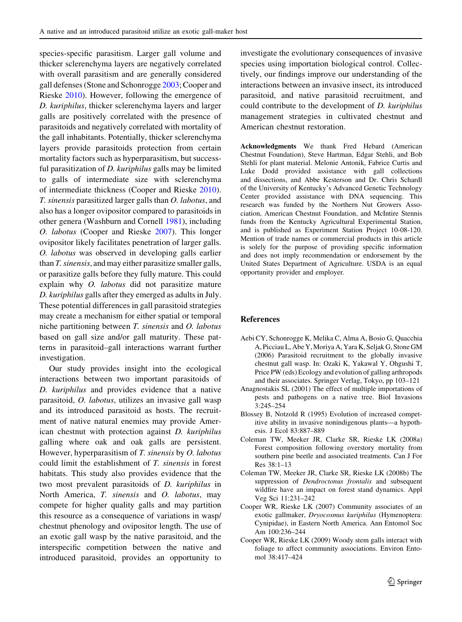<span id="page-8-0"></span>species-specific parasitism. Larger gall volume and thicker sclerenchyma layers are negatively correlated with overall parasitism and are generally considered gall defenses (Stone and Schonrogge [2003](#page-9-0); Cooper and Rieske [2010](#page-9-0)). However, following the emergence of D. kuriphilus, thicker sclerenchyma layers and larger galls are positively correlated with the presence of parasitoids and negatively correlated with mortality of the gall inhabitants. Potentially, thicker sclerenchyma layers provide parasitoids protection from certain mortality factors such as hyperparasitism, but successful parasitization of D. kuriphilus galls may be limited to galls of intermediate size with sclerenchyma of intermediate thickness (Cooper and Rieske [2010](#page-9-0)). T. sinensis parasitized larger galls than O. labotus, and also has a longer ovipositor compared to parasitoids in other genera (Washburn and Cornell [1981\)](#page-9-0), including O. labotus (Cooper and Rieske 2007). This longer ovipositor likely facilitates penetration of larger galls. O. labotus was observed in developing galls earlier than T. sinensis, and may either parasitize smaller galls, or parasitize galls before they fully mature. This could explain why O. labotus did not parasitize mature D. kuriphilus galls after they emerged as adults in July. These potential differences in gall parasitoid strategies may create a mechanism for either spatial or temporal niche partitioning between T. sinensis and O. labotus based on gall size and/or gall maturity. These patterns in parasitoid–gall interactions warrant further investigation.

Our study provides insight into the ecological interactions between two important parasitoids of D. kuriphilus and provides evidence that a native parasitoid, O. labotus, utilizes an invasive gall wasp and its introduced parasitoid as hosts. The recruitment of native natural enemies may provide American chestnut with protection against D. kuriphilus galling where oak and oak galls are persistent. However, hyperparasitism of T. sinensis by O. labotus could limit the establishment of T. sinensis in forest habitats. This study also provides evidence that the two most prevalent parasitoids of D. kuriphilus in North America, T. sinensis and O. labotus, may compete for higher quality galls and may partition this resource as a consequence of variations in wasp/ chestnut phenology and ovipositor length. The use of an exotic gall wasp by the native parasitoid, and the interspecific competition between the native and introduced parasitoid, provides an opportunity to

investigate the evolutionary consequences of invasive species using importation biological control. Collectively, our findings improve our understanding of the interactions between an invasive insect, its introduced parasitoid, and native parasitoid recruitment, and could contribute to the development of D. kuriphilus management strategies in cultivated chestnut and American chestnut restoration.

Acknowledgments We thank Fred Hebard (American Chestnut Foundation), Steve Hartman, Edgar Stehli, and Bob Stehli for plant material. Melonie Antonik, Fabrice Curtis and Luke Dodd provided assistance with gall collections and dissections, and Abbe Kesterson and Dr. Chris Schardl of the University of Kentucky's Advanced Genetic Technology Center provided assistance with DNA sequencing. This research was funded by the Northern Nut Growers Association, American Chestnut Foundation, and McIntire Stennis funds from the Kentucky Agricultural Experimental Station, and is published as Experiment Station Project 10-08-120. Mention of trade names or commercial products in this article is solely for the purpose of providing specific information and does not imply recommendation or endorsement by the United States Department of Agriculture. USDA is an equal opportunity provider and employer.

#### References

- Aebi CY, Schonrogge K, Melika C, Alma A, Bosio G, Quacchia A, Picciau L, Abe Y, Moriya A, Yara K, Seljak G, Stone GM (2006) Parasitoid recruitment to the globally invasive chestnut gall wasp. In: Ozaki K, Yakawal Y, Ohgushi T, Price PW (eds) Ecology and evolution of galling arthropods and their associates. Springer Verlag, Tokyo, pp 103–121
- Anagnostakis SL (2001) The effect of multiple importations of pests and pathogens on a native tree. Biol Invasions 3:245–254
- Blossey B, Notzold R (1995) Evolution of increased competitive ability in invasive nonindigenous plants—a hypothesis. J Ecol 83:887–889
- Coleman TW, Meeker JR, Clarke SR, Rieske LK (2008a) Forest composition following overstory mortality from southern pine beetle and associated treatments. Can J For Res 38:1–13
- Coleman TW, Meeker JR, Clarke SR, Rieske LK (2008b) The suppression of Dendroctonus frontalis and subsequent wildfire have an impact on forest stand dynamics. Appl Veg Sci 11:231–242
- Cooper WR, Rieske LK (2007) Community associates of an exotic gallmaker, Dryocosmus kuriphilus (Hymenoptera: Cynipidae), in Eastern North America. Ann Entomol Soc Am 100:236–244
- Cooper WR, Rieske LK (2009) Woody stem galls interact with foliage to affect community associations. Environ Entomol 38:417–424